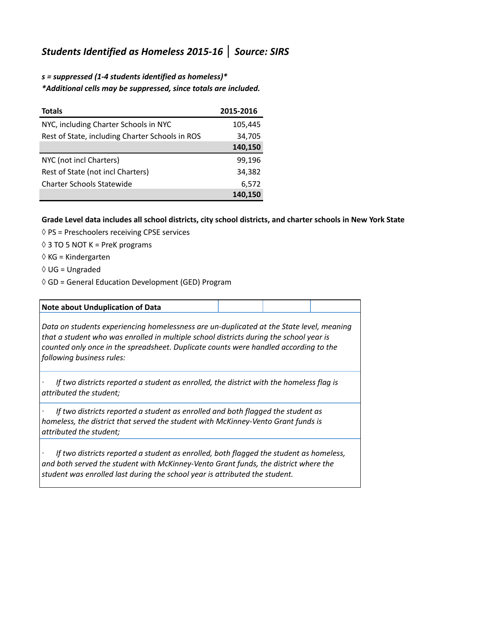## *Students Identified as Homeless 2015-16* **│** *Source: SIRS*

*s = suppressed (1-4 students identified as homeless)\* \*Additional cells may be suppressed, since totals are included.*

| <b>Totals</b>                                   | 2015-2016 |
|-------------------------------------------------|-----------|
| NYC, including Charter Schools in NYC           | 105,445   |
| Rest of State, including Charter Schools in ROS | 34,705    |
|                                                 | 140,150   |
| NYC (not incl Charters)                         | 99,196    |
| Rest of State (not incl Charters)               | 34,382    |
| <b>Charter Schools Statewide</b>                | 6,572     |
|                                                 | 140.150   |

## **Grade Level data includes all school districts, city school districts, and charter schools in New York State**

- $\Diamond$  PS = Preschoolers receiving CPSE services
- $\Diamond$  3 TO 5 NOT K = PreK programs
- ◊ KG = Kindergarten
- ◊ UG = Ungraded
- ◊ GD = General Education Development (GED) Program

| Note about Unduplication of Data                                                                                                                                                                                                                                                                        |  |  |  |  |
|---------------------------------------------------------------------------------------------------------------------------------------------------------------------------------------------------------------------------------------------------------------------------------------------------------|--|--|--|--|
| Data on students experiencing homelessness are un-duplicated at the State level, meaning<br>that a student who was enrolled in multiple school districts during the school year is<br>counted only once in the spreadsheet. Duplicate counts were handled according to the<br>following business rules: |  |  |  |  |
| If two districts reported a student as enrolled, the district with the homeless flag is<br>attributed the student;                                                                                                                                                                                      |  |  |  |  |
| If two districts reported a student as enrolled and both flagged the student as<br>homeless, the district that served the student with McKinney-Vento Grant funds is<br>attributed the student;                                                                                                         |  |  |  |  |
| If two districts reported a student as enrolled, both flagged the student as homeless,<br>and both served the student with McKinney-Vento Grant funds, the district where the<br>student was enrolled last during the school year is attributed the student.                                            |  |  |  |  |